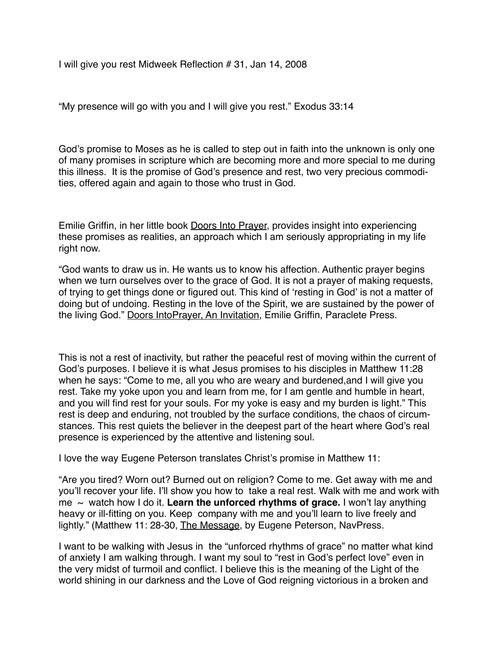I will give you rest Midweek Reflection # 31, Jan 14, 2008

"My presence will go with you and I will give you rest." Exodus 33:14

God's promise to Moses as he is called to step out in faith into the unknown is only one of many promises in scripture which are becoming more and more special to me during this illness. It is the promise of God's presence and rest, two very precious commodities, offered again and again to those who trust in God.

Emilie Griffin, in her little book Doors Into Prayer, provides insight into experiencing these promises as realities, an approach which I am seriously appropriating in my life right now.

"God wants to draw us in. He wants us to know his affection. Authentic prayer begins when we turn ourselves over to the grace of God. It is not a prayer of making requests, of trying to get things done or figured out. This kind of 'resting in God' is not a matter of doing but of undoing. Resting in the love of the Spirit, we are sustained by the power of the living God." Doors IntoPrayer, An Invitation, Emilie Griffin, Paraclete Press.

This is not a rest of inactivity, but rather the peaceful rest of moving within the current of God's purposes. I believe it is what Jesus promises to his disciples in Matthew 11:28 when he says: "Come to me, all you who are weary and burdened,and I will give you rest. Take my yoke upon you and learn from me, for I am gentle and humble in heart, and you will find rest for your souls. For my yoke is easy and my burden is light." This rest is deep and enduring, not troubled by the surface conditions, the chaos of circumstances. This rest quiets the believer in the deepest part of the heart where God's real presence is experienced by the attentive and listening soul.

I love the way Eugene Peterson translates Christ's promise in Matthew 11:

"Are you tired? Worn out? Burned out on religion? Come to me. Get away with me and you'll recover your life. I'll show you how to take a real rest. Walk with me and work with me  $\sim$  watch how I do it. Learn the unforced rhythms of grace. I won't lay anything heavy or ill-fitting on you. Keep company with me and you'll learn to live freely and lightly." (Matthew 11: 28-30, The Message, by Eugene Peterson, NavPress.

I want to be walking with Jesus in the "unforced rhythms of grace" no matter what kind of anxiety I am walking through. I want my soul to "rest in God's perfect love" even in the very midst of turmoil and conflict. I believe this is the meaning of the Light of the world shining in our darkness and the Love of God reigning victorious in a broken and